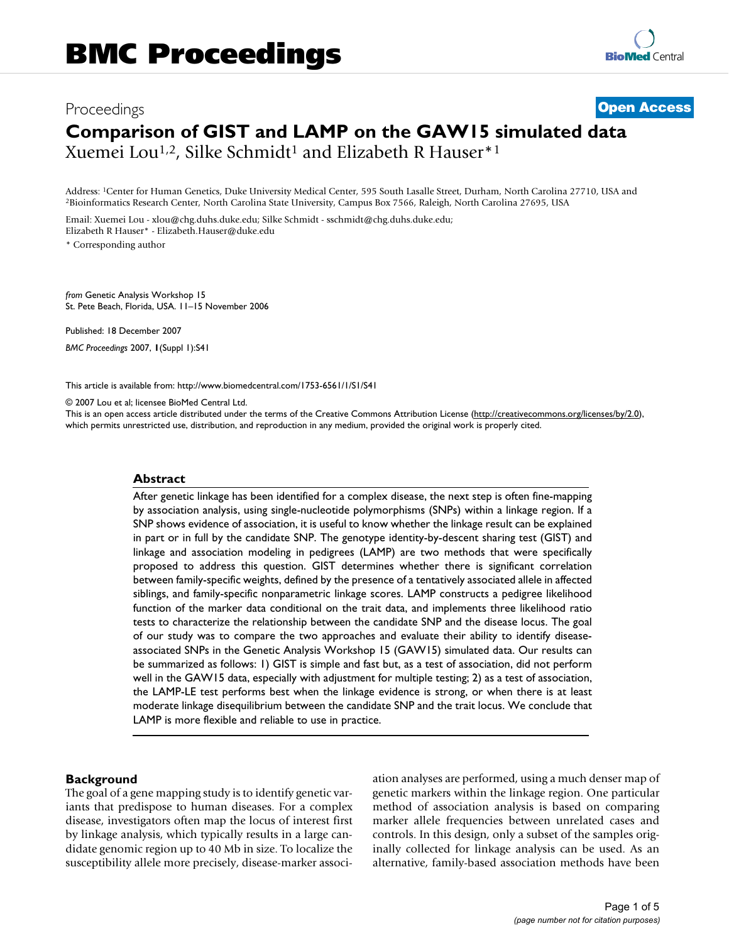# Proceedings **[Open Access](http://www.biomedcentral.com/info/about/charter/) Comparison of GIST and LAMP on the GAW15 simulated data** Xuemei Lou<sup>1,2</sup>, Silke Schmidt<sup>1</sup> and Elizabeth R Hauser<sup>\*1</sup>

Address: <sup>1</sup>Center for Human Genetics, Duke University Medical Center, 595 South Lasalle Street, Durham, North Carolina 27710, USA and <sup>2</sup>Bioinformatics Research Center, North Carolina 20695, USA

Email: Xuemei Lou - xlou@chg.duhs.duke.edu; Silke Schmidt - sschmidt@chg.duhs.duke.edu; Elizabeth R Hauser\* - Elizabeth.Hauser@duke.edu

\* Corresponding author

*from* Genetic Analysis Workshop 15 St. Pete Beach, Florida, USA. 11–15 November 2006

Published: 18 December 2007

*BMC Proceedings* 2007, **1**(Suppl 1):S41

[This article is available from: http://www.biomedcentral.com/1753-6561/1/S1/S41](http://www.biomedcentral.com/1753-6561/1/S1/S41)

© 2007 Lou et al; licensee BioMed Central Ltd.

This is an open access article distributed under the terms of the Creative Commons Attribution License [\(http://creativecommons.org/licenses/by/2.0\)](http://creativecommons.org/licenses/by/2.0), which permits unrestricted use, distribution, and reproduction in any medium, provided the original work is properly cited.

#### **Abstract**

After genetic linkage has been identified for a complex disease, the next step is often fine-mapping by association analysis, using single-nucleotide polymorphisms (SNPs) within a linkage region. If a SNP shows evidence of association, it is useful to know whether the linkage result can be explained in part or in full by the candidate SNP. The genotype identity-by-descent sharing test (GIST) and linkage and association modeling in pedigrees (LAMP) are two methods that were specifically proposed to address this question. GIST determines whether there is significant correlation between family-specific weights, defined by the presence of a tentatively associated allele in affected siblings, and family-specific nonparametric linkage scores. LAMP constructs a pedigree likelihood function of the marker data conditional on the trait data, and implements three likelihood ratio tests to characterize the relationship between the candidate SNP and the disease locus. The goal of our study was to compare the two approaches and evaluate their ability to identify diseaseassociated SNPs in the Genetic Analysis Workshop 15 (GAW15) simulated data. Our results can be summarized as follows: 1) GIST is simple and fast but, as a test of association, did not perform well in the GAW15 data, especially with adjustment for multiple testing; 2) as a test of association, the LAMP-LE test performs best when the linkage evidence is strong, or when there is at least moderate linkage disequilibrium between the candidate SNP and the trait locus. We conclude that LAMP is more flexible and reliable to use in practice.

#### **Background**

The goal of a gene mapping study is to identify genetic variants that predispose to human diseases. For a complex disease, investigators often map the locus of interest first by linkage analysis, which typically results in a large candidate genomic region up to 40 Mb in size. To localize the susceptibility allele more precisely, disease-marker association analyses are performed, using a much denser map of genetic markers within the linkage region. One particular method of association analysis is based on comparing marker allele frequencies between unrelated cases and controls. In this design, only a subset of the samples originally collected for linkage analysis can be used. As an alternative, family-based association methods have been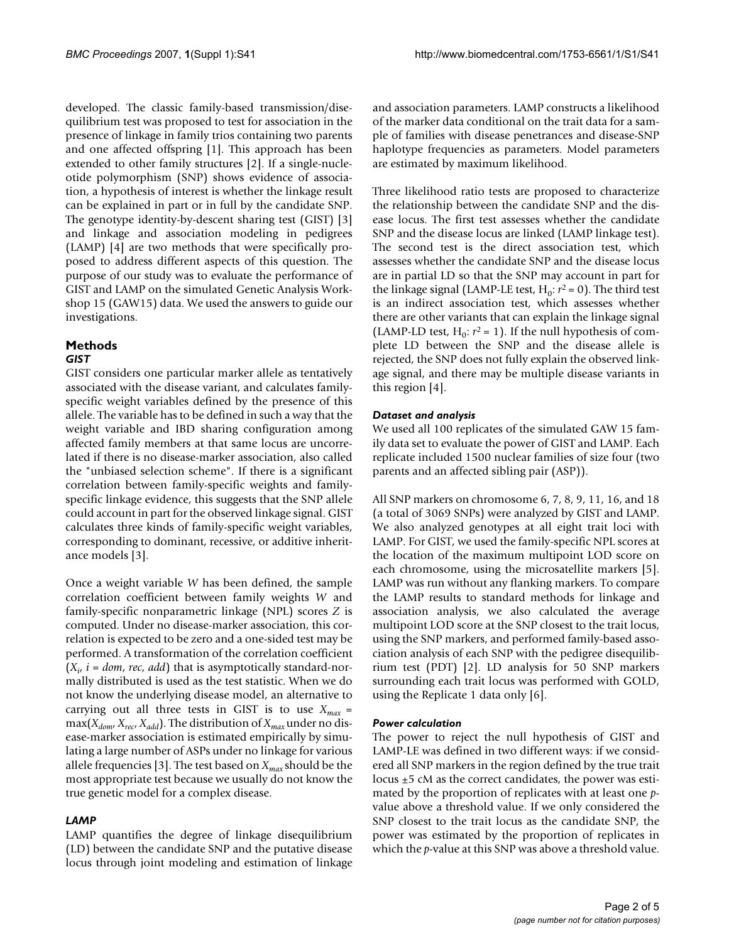developed. The classic family-based transmission/disequilibrium test was proposed to test for association in the presence of linkage in family trios containing two parents and one affected offspring [1]. This approach has been extended to other family structures [2]. If a single-nucleotide polymorphism (SNP) shows evidence of association, a hypothesis of interest is whether the linkage result can be explained in part or in full by the candidate SNP. The genotype identity-by-descent sharing test (GIST) [3] and linkage and association modeling in pedigrees (LAMP) [4] are two methods that were specifically proposed to address different aspects of this question. The purpose of our study was to evaluate the performance of GIST and LAMP on the simulated Genetic Analysis Workshop 15 (GAW15) data. We used the answers to guide our investigations.

#### **Methods** *GIST*

GIST considers one particular marker allele as tentatively associated with the disease variant, and calculates familyspecific weight variables defined by the presence of this allele. The variable has to be defined in such a way that the weight variable and IBD sharing configuration among affected family members at that same locus are uncorrelated if there is no disease-marker association, also called the "unbiased selection scheme". If there is a significant correlation between family-specific weights and familyspecific linkage evidence, this suggests that the SNP allele could account in part for the observed linkage signal. GIST calculates three kinds of family-specific weight variables, corresponding to dominant, recessive, or additive inheritance models [3].

Once a weight variable *W* has been defined, the sample correlation coefficient between family weights *W* and family-specific nonparametric linkage (NPL) scores *Z* is computed. Under no disease-marker association, this correlation is expected to be zero and a one-sided test may be performed. A transformation of the correlation coefficient  $(X_i, i = dom, rec, add)$  that is asymptotically standard-normally distributed is used as the test statistic. When we do not know the underlying disease model, an alternative to carrying out all three tests in GIST is to use  $X_{max}$  =  $\max(X_{\text{dom}}, X_{\text{rec}}, X_{\text{add}})$ . The distribution of  $X_{\text{max}}$  under no disease-marker association is estimated empirically by simulating a large number of ASPs under no linkage for various allele frequencies [3]. The test based on  $X_{max}$  should be the most appropriate test because we usually do not know the true genetic model for a complex disease.

# *LAMP*

LAMP quantifies the degree of linkage disequilibrium (LD) between the candidate SNP and the putative disease locus through joint modeling and estimation of linkage and association parameters. LAMP constructs a likelihood of the marker data conditional on the trait data for a sample of families with disease penetrances and disease-SNP haplotype frequencies as parameters. Model parameters are estimated by maximum likelihood.

Three likelihood ratio tests are proposed to characterize the relationship between the candidate SNP and the disease locus. The first test assesses whether the candidate SNP and the disease locus are linked (LAMP linkage test). The second test is the direct association test, which assesses whether the candidate SNP and the disease locus are in partial LD so that the SNP may account in part for the linkage signal (LAMP-LE test,  $H_0: r^2 = 0$ ). The third test is an indirect association test, which assesses whether there are other variants that can explain the linkage signal (LAMP-LD test,  $H_0$ :  $r^2 = 1$ ). If the null hypothesis of complete LD between the SNP and the disease allele is rejected, the SNP does not fully explain the observed linkage signal, and there may be multiple disease variants in this region [4].

# *Dataset and analysis*

We used all 100 replicates of the simulated GAW 15 family data set to evaluate the power of GIST and LAMP. Each replicate included 1500 nuclear families of size four (two parents and an affected sibling pair (ASP)).

All SNP markers on chromosome 6, 7, 8, 9, 11, 16, and 18 (a total of 3069 SNPs) were analyzed by GIST and LAMP. We also analyzed genotypes at all eight trait loci with LAMP. For GIST, we used the family-specific NPL scores at the location of the maximum multipoint LOD score on each chromosome, using the microsatellite markers [5]. LAMP was run without any flanking markers. To compare the LAMP results to standard methods for linkage and association analysis, we also calculated the average multipoint LOD score at the SNP closest to the trait locus, using the SNP markers, and performed family-based association analysis of each SNP with the pedigree disequilibrium test (PDT) [2]. LD analysis for 50 SNP markers surrounding each trait locus was performed with GOLD, using the Replicate 1 data only [6].

# *Power calculation*

The power to reject the null hypothesis of GIST and LAMP-LE was defined in two different ways: if we considered all SNP markers in the region defined by the true trait locus  $\pm$ 5 cM as the correct candidates, the power was estimated by the proportion of replicates with at least one *p*value above a threshold value. If we only considered the SNP closest to the trait locus as the candidate SNP, the power was estimated by the proportion of replicates in which the *p*-value at this SNP was above a threshold value.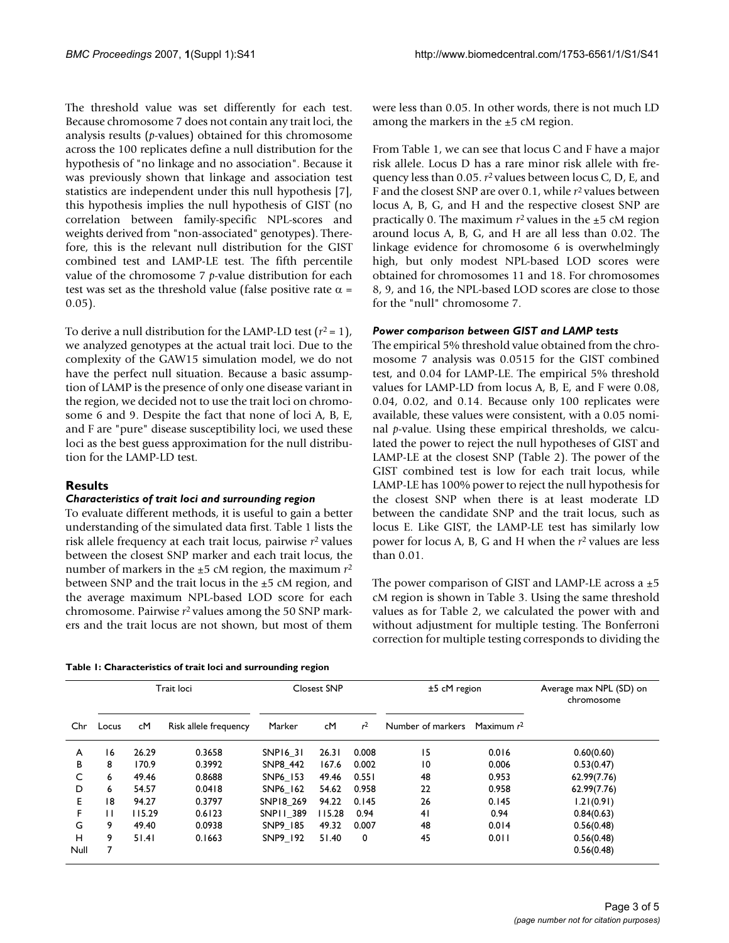The threshold value was set differently for each test. Because chromosome 7 does not contain any trait loci, the analysis results (*p*-values) obtained for this chromosome across the 100 replicates define a null distribution for the hypothesis of "no linkage and no association". Because it was previously shown that linkage and association test statistics are independent under this null hypothesis [7], this hypothesis implies the null hypothesis of GIST (no correlation between family-specific NPL-scores and weights derived from "non-associated" genotypes). Therefore, this is the relevant null distribution for the GIST combined test and LAMP-LE test. The fifth percentile value of the chromosome 7 *p*-value distribution for each test was set as the threshold value (false positive rate  $\alpha$  = 0.05).

To derive a null distribution for the LAMP-LD test  $(r^2 = 1)$ , we analyzed genotypes at the actual trait loci. Due to the complexity of the GAW15 simulation model, we do not have the perfect null situation. Because a basic assumption of LAMP is the presence of only one disease variant in the region, we decided not to use the trait loci on chromosome 6 and 9. Despite the fact that none of loci A, B, E, and F are "pure" disease susceptibility loci, we used these loci as the best guess approximation for the null distribution for the LAMP-LD test.

# **Results**

#### *Characteristics of trait loci and surrounding region*

To evaluate different methods, it is useful to gain a better understanding of the simulated data first. Table 1 lists the risk allele frequency at each trait locus, pairwise *r*2 values between the closest SNP marker and each trait locus, the number of markers in the ±5 cM region, the maximum *r*<sup>2</sup> between SNP and the trait locus in the ±5 cM region, and the average maximum NPL-based LOD score for each chromosome. Pairwise *r*2 values among the 50 SNP markers and the trait locus are not shown, but most of them

were less than 0.05. In other words, there is not much LD among the markers in the  $\pm$ 5 cM region.

From Table 1, we can see that locus C and F have a major risk allele. Locus D has a rare minor risk allele with frequency less than 0.05. *r*2 values between locus C, D, E, and F and the closest SNP are over 0.1, while *r*2 values between locus A, B, G, and H and the respective closest SNP are practically 0. The maximum  $r^2$  values in the  $\pm 5$  cM region around locus A, B, G, and H are all less than 0.02. The linkage evidence for chromosome 6 is overwhelmingly high, but only modest NPL-based LOD scores were obtained for chromosomes 11 and 18. For chromosomes 8, 9, and 16, the NPL-based LOD scores are close to those for the "null" chromosome 7.

#### *Power comparison between GIST and LAMP tests*

The empirical 5% threshold value obtained from the chromosome 7 analysis was 0.0515 for the GIST combined test, and 0.04 for LAMP-LE. The empirical 5% threshold values for LAMP-LD from locus A, B, E, and F were 0.08, 0.04, 0.02, and 0.14. Because only 100 replicates were available, these values were consistent, with a 0.05 nominal *p*-value. Using these empirical thresholds, we calculated the power to reject the null hypotheses of GIST and LAMP-LE at the closest SNP (Table 2). The power of the GIST combined test is low for each trait locus, while LAMP-LE has 100% power to reject the null hypothesis for the closest SNP when there is at least moderate LD between the candidate SNP and the trait locus, such as locus E. Like GIST, the LAMP-LE test has similarly low power for locus A, B, G and H when the *r*2 values are less than 0.01.

The power comparison of GIST and LAMP-LE across a  $\pm 5$ cM region is shown in Table 3. Using the same threshold values as for Table 2, we calculated the power with and without adjustment for multiple testing. The Bonferroni correction for multiple testing corresponds to dividing the

|  |  |  |  |  |  | Table 1: Characteristics of trait loci and surrounding region |
|--|--|--|--|--|--|---------------------------------------------------------------|
|--|--|--|--|--|--|---------------------------------------------------------------|

|      | Trait loci |        |                       | <b>Closest SNP</b> |        | $±5$ cM region |                   | Average max NPL (SD) on<br>chromosome |             |
|------|------------|--------|-----------------------|--------------------|--------|----------------|-------------------|---------------------------------------|-------------|
| Chr  | Locus      | cM     | Risk allele frequency | Marker             | сM     | r <sup>2</sup> | Number of markers | Maximum $r^2$                         |             |
| A    | 16         | 26.29  | 0.3658                | SNP16_31           | 26.31  | 0.008          | 15                | 0.016                                 | 0.60(0.60)  |
| в    | 8          | 170.9  | 0.3992                | SNP8 442           | 167.6  | 0.002          | $\overline{10}$   | 0.006                                 | 0.53(0.47)  |
| C    | 6          | 49.46  | 0.8688                | SNP6 153           | 49.46  | 0.551          | 48                | 0.953                                 | 62.99(7.76) |
| D    | 6          | 54.57  | 0.0418                | SNP6 162           | 54.62  | 0.958          | 22                | 0.958                                 | 62.99(7.76) |
| Е    | 18         | 94.27  | 0.3797                | SNP18 269          | 94.22  | 0.145          | 26                | 0.145                                 | 1.21(0.91)  |
| F    | П          | 115.29 | 0.6123                | SNP11 389          | 115.28 | 0.94           | 41                | 0.94                                  | 0.84(0.63)  |
| G    | 9          | 49.40  | 0.0938                | SNP9 185           | 49.32  | 0.007          | 48                | 0.014                                 | 0.56(0.48)  |
| н    | 9          | 51.41  | 0.1663                | SNP9 192           | 51.40  | 0              | 45                | 0.011                                 | 0.56(0.48)  |
| Null | 7          |        |                       |                    |        |                |                   |                                       | 0.56(0.48)  |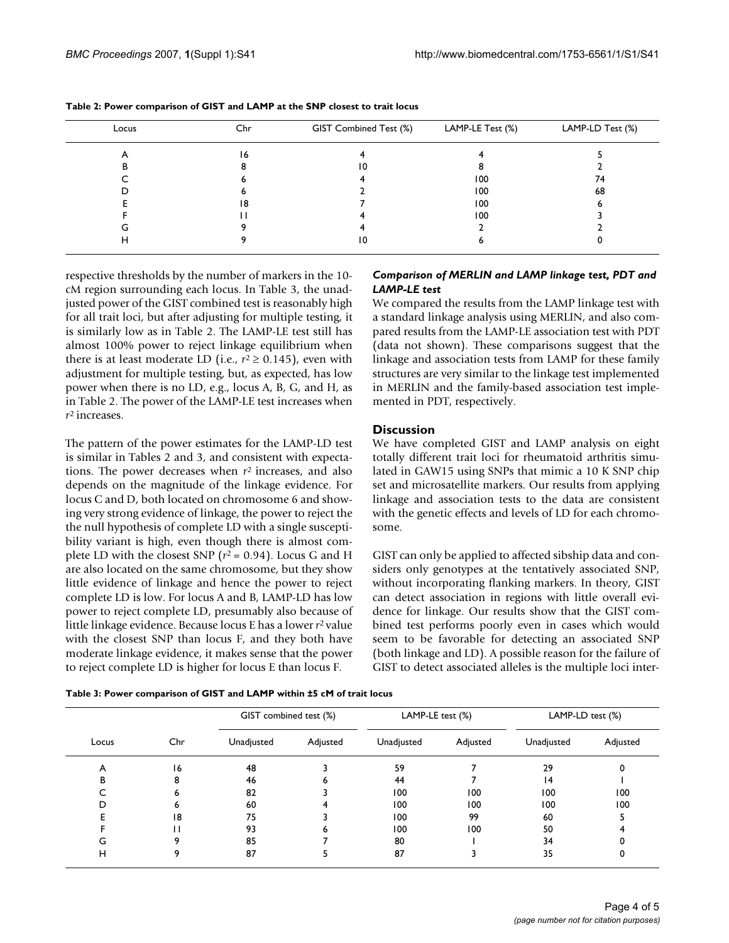| Locus | Chr | GIST Combined Test (%) | LAMP-LE Test (%) | LAMP-LD Test (%) |  |
|-------|-----|------------------------|------------------|------------------|--|
| ∽     | 16  |                        |                  |                  |  |
|       |     | 10                     |                  |                  |  |
|       |     |                        | 100              | 74               |  |
|       |     |                        | 100              | 68               |  |
|       | 18  |                        | 100              |                  |  |
|       |     |                        | 100              |                  |  |
| G     |     |                        |                  |                  |  |
| H     |     | 10                     |                  |                  |  |

**Table 2: Power comparison of GIST and LAMP at the SNP closest to trait locus**

respective thresholds by the number of markers in the 10 cM region surrounding each locus. In Table 3, the unadjusted power of the GIST combined test is reasonably high for all trait loci, but after adjusting for multiple testing, it is similarly low as in Table 2. The LAMP-LE test still has almost 100% power to reject linkage equilibrium when there is at least moderate LD (i.e.,  $r^2 \ge 0.145$ ), even with adjustment for multiple testing, but, as expected, has low power when there is no LD, e.g., locus A, B, G, and H, as in Table 2. The power of the LAMP-LE test increases when *r*2 increases.

The pattern of the power estimates for the LAMP-LD test is similar in Tables 2 and 3, and consistent with expectations. The power decreases when *r*2 increases, and also depends on the magnitude of the linkage evidence. For locus C and D, both located on chromosome 6 and showing very strong evidence of linkage, the power to reject the the null hypothesis of complete LD with a single susceptibility variant is high, even though there is almost complete LD with the closest SNP  $(r^2 = 0.94)$ . Locus G and H are also located on the same chromosome, but they show little evidence of linkage and hence the power to reject complete LD is low. For locus A and B, LAMP-LD has low power to reject complete LD, presumably also because of little linkage evidence. Because locus E has a lower *r*2 value with the closest SNP than locus F, and they both have moderate linkage evidence, it makes sense that the power to reject complete LD is higher for locus E than locus F.

## *Comparison of MERLIN and LAMP linkage test, PDT and LAMP-LE test*

We compared the results from the LAMP linkage test with a standard linkage analysis using MERLIN, and also compared results from the LAMP-LE association test with PDT (data not shown). These comparisons suggest that the linkage and association tests from LAMP for these family structures are very similar to the linkage test implemented in MERLIN and the family-based association test implemented in PDT, respectively.

## **Discussion**

We have completed GIST and LAMP analysis on eight totally different trait loci for rheumatoid arthritis simulated in GAW15 using SNPs that mimic a 10 K SNP chip set and microsatellite markers. Our results from applying linkage and association tests to the data are consistent with the genetic effects and levels of LD for each chromosome.

GIST can only be applied to affected sibship data and considers only genotypes at the tentatively associated SNP, without incorporating flanking markers. In theory, GIST can detect association in regions with little overall evidence for linkage. Our results show that the GIST combined test performs poorly even in cases which would seem to be favorable for detecting an associated SNP (both linkage and LD). A possible reason for the failure of GIST to detect associated alleles is the multiple loci inter-

| Locus |     | GIST combined test (%) |          | LAMP-LE test (%) |          | LAMP-LD test (%) |          |
|-------|-----|------------------------|----------|------------------|----------|------------------|----------|
|       | Chr | Unadjusted             | Adjusted | Unadjusted       | Adjusted | Unadjusted       | Adjusted |
| A     | 16  | 48                     |          | 59               |          | 29               |          |
| в     |     | 46                     | ь        | 44               |          | 14               |          |
|       |     | 82                     |          | 100              | 100      | 100              | 100      |
|       |     | 60                     |          | 100              | 100      | 100              | 100      |
|       | 18  | 75                     |          | 100              | 99       | 60               |          |
|       |     | 93                     | n        | 100              | 100      | 50               |          |
|       |     | 85                     |          | 80               |          | 34               |          |

H 9 87 5 87 3 35 0

**Table 3: Power comparison of GIST and LAMP within ±5 cM of trait locus**